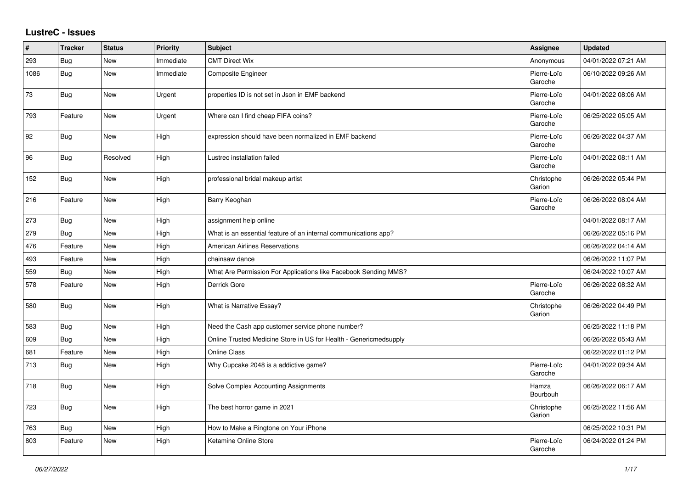## **LustreC - Issues**

| #    | <b>Tracker</b> | <b>Status</b> | <b>Priority</b> | <b>Subject</b>                                                    | <b>Assignee</b>        | <b>Updated</b>      |
|------|----------------|---------------|-----------------|-------------------------------------------------------------------|------------------------|---------------------|
| 293  | Bug            | <b>New</b>    | Immediate       | <b>CMT Direct Wix</b>                                             | Anonymous              | 04/01/2022 07:21 AM |
| 1086 | <b>Bug</b>     | <b>New</b>    | Immediate       | Composite Engineer                                                | Pierre-Loïc<br>Garoche | 06/10/2022 09:26 AM |
| 73   | Bug            | New           | Urgent          | properties ID is not set in Json in EMF backend                   | Pierre-Loïc<br>Garoche | 04/01/2022 08:06 AM |
| 793  | Feature        | New           | Urgent          | Where can I find cheap FIFA coins?                                | Pierre-Loïc<br>Garoche | 06/25/2022 05:05 AM |
| 92   | Bug            | New           | High            | expression should have been normalized in EMF backend             | Pierre-Loïc<br>Garoche | 06/26/2022 04:37 AM |
| 96   | <b>Bug</b>     | Resolved      | High            | Lustrec installation failed                                       | Pierre-Loïc<br>Garoche | 04/01/2022 08:11 AM |
| 152  | <b>Bug</b>     | New           | High            | professional bridal makeup artist                                 | Christophe<br>Garion   | 06/26/2022 05:44 PM |
| 216  | Feature        | New           | High            | Barry Keoghan                                                     | Pierre-Loïc<br>Garoche | 06/26/2022 08:04 AM |
| 273  | <b>Bug</b>     | New           | High            | assignment help online                                            |                        | 04/01/2022 08:17 AM |
| 279  | Bug            | New           | High            | What is an essential feature of an internal communications app?   |                        | 06/26/2022 05:16 PM |
| 476  | Feature        | New           | High            | American Airlines Reservations                                    |                        | 06/26/2022 04:14 AM |
| 493  | Feature        | <b>New</b>    | High            | chainsaw dance                                                    |                        | 06/26/2022 11:07 PM |
| 559  | Bug            | <b>New</b>    | High            | What Are Permission For Applications like Facebook Sending MMS?   |                        | 06/24/2022 10:07 AM |
| 578  | Feature        | New           | High            | Derrick Gore                                                      | Pierre-Loïc<br>Garoche | 06/26/2022 08:32 AM |
| 580  | Bug            | <b>New</b>    | High            | What is Narrative Essay?                                          | Christophe<br>Garion   | 06/26/2022 04:49 PM |
| 583  | <b>Bug</b>     | <b>New</b>    | High            | Need the Cash app customer service phone number?                  |                        | 06/25/2022 11:18 PM |
| 609  | <b>Bug</b>     | New           | High            | Online Trusted Medicine Store in US for Health - Genericmedsupply |                        | 06/26/2022 05:43 AM |
| 681  | Feature        | New           | High            | <b>Online Class</b>                                               |                        | 06/22/2022 01:12 PM |
| 713  | Bug            | <b>New</b>    | High            | Why Cupcake 2048 is a addictive game?                             | Pierre-Loïc<br>Garoche | 04/01/2022 09:34 AM |
| 718  | Bug            | <b>New</b>    | High            | Solve Complex Accounting Assignments                              | Hamza<br>Bourbouh      | 06/26/2022 06:17 AM |
| 723  | Bug            | New           | High            | The best horror game in 2021                                      | Christophe<br>Garion   | 06/25/2022 11:56 AM |
| 763  | <b>Bug</b>     | <b>New</b>    | High            | How to Make a Ringtone on Your iPhone                             |                        | 06/25/2022 10:31 PM |
| 803  | Feature        | <b>New</b>    | High            | Ketamine Online Store                                             | Pierre-Loïc<br>Garoche | 06/24/2022 01:24 PM |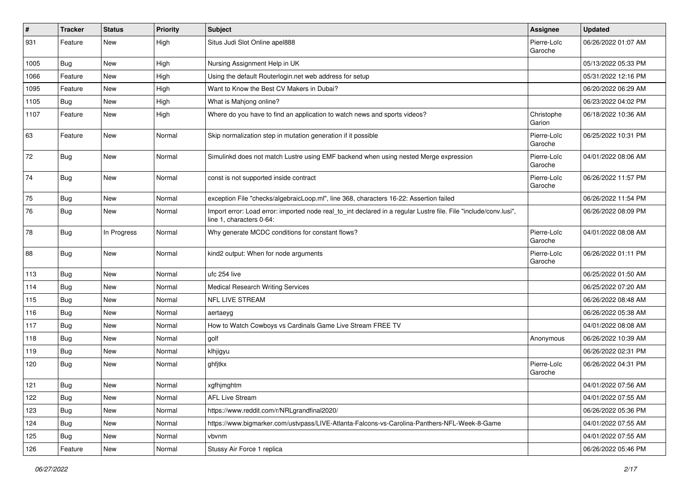| #    | <b>Tracker</b> | <b>Status</b> | <b>Priority</b> | Subject                                                                                                                                      | <b>Assignee</b>        | <b>Updated</b>      |
|------|----------------|---------------|-----------------|----------------------------------------------------------------------------------------------------------------------------------------------|------------------------|---------------------|
| 931  | Feature        | New           | High            | Situs Judi Slot Online apel888                                                                                                               | Pierre-Loïc<br>Garoche | 06/26/2022 01:07 AM |
| 1005 | Bug            | New           | High            | Nursing Assignment Help in UK                                                                                                                |                        | 05/13/2022 05:33 PM |
| 1066 | Feature        | New           | High            | Using the default Routerlogin.net web address for setup                                                                                      |                        | 05/31/2022 12:16 PM |
| 1095 | Feature        | New           | High            | Want to Know the Best CV Makers in Dubai?                                                                                                    |                        | 06/20/2022 06:29 AM |
| 1105 | <b>Bug</b>     | New           | High            | What is Mahjong online?                                                                                                                      |                        | 06/23/2022 04:02 PM |
| 1107 | Feature        | New           | High            | Where do you have to find an application to watch news and sports videos?                                                                    | Christophe<br>Garion   | 06/18/2022 10:36 AM |
| 63   | Feature        | New           | Normal          | Skip normalization step in mutation generation if it possible                                                                                | Pierre-Loïc<br>Garoche | 06/25/2022 10:31 PM |
| 72   | <b>Bug</b>     | New           | Normal          | Simulinkd does not match Lustre using EMF backend when using nested Merge expression                                                         | Pierre-Loïc<br>Garoche | 04/01/2022 08:06 AM |
| 74   | Bug            | New           | Normal          | const is not supported inside contract                                                                                                       | Pierre-Loïc<br>Garoche | 06/26/2022 11:57 PM |
| 75   | Bug            | New           | Normal          | exception File "checks/algebraicLoop.ml", line 368, characters 16-22: Assertion failed                                                       |                        | 06/26/2022 11:54 PM |
| 76   | <b>Bug</b>     | New           | Normal          | Import error: Load error: imported node real_to_int declared in a regular Lustre file. File "include/conv.lusi",<br>line 1, characters 0-64: |                        | 06/26/2022 08:09 PM |
| 78   | <b>Bug</b>     | In Progress   | Normal          | Why generate MCDC conditions for constant flows?                                                                                             | Pierre-Loïc<br>Garoche | 04/01/2022 08:08 AM |
| 88   | Bug            | New           | Normal          | kind2 output: When for node arguments                                                                                                        | Pierre-Loïc<br>Garoche | 06/26/2022 01:11 PM |
| 113  | Bug            | New           | Normal          | ufc 254 live                                                                                                                                 |                        | 06/25/2022 01:50 AM |
| 114  | Bug            | New           | Normal          | <b>Medical Research Writing Services</b>                                                                                                     |                        | 06/25/2022 07:20 AM |
| 115  | Bug            | New           | Normal          | NFL LIVE STREAM                                                                                                                              |                        | 06/26/2022 08:48 AM |
| 116  | Bug            | New           | Normal          | aertaeyg                                                                                                                                     |                        | 06/26/2022 05:38 AM |
| 117  | Bug            | New           | Normal          | How to Watch Cowboys vs Cardinals Game Live Stream FREE TV                                                                                   |                        | 04/01/2022 08:08 AM |
| 118  | <b>Bug</b>     | New           | Normal          | golf                                                                                                                                         | Anonymous              | 06/26/2022 10:39 AM |
| 119  | <b>Bug</b>     | New           | Normal          | klhjigyu                                                                                                                                     |                        | 06/26/2022 02:31 PM |
| 120  | <b>Bug</b>     | New           | Normal          | ghfjtkx                                                                                                                                      | Pierre-Loïc<br>Garoche | 06/26/2022 04:31 PM |
| 121  | Bug            | New           | Normal          | xgfhjmghtm                                                                                                                                   |                        | 04/01/2022 07:56 AM |
| 122  | Bug            | New           | Normal          | <b>AFL Live Stream</b>                                                                                                                       |                        | 04/01/2022 07:55 AM |
| 123  | Bug            | New           | Normal          | https://www.reddit.com/r/NRLgrandfinal2020/                                                                                                  |                        | 06/26/2022 05:36 PM |
| 124  | <b>Bug</b>     | New           | Normal          | https://www.bigmarker.com/ustvpass/LIVE-Atlanta-Falcons-vs-Carolina-Panthers-NFL-Week-8-Game                                                 |                        | 04/01/2022 07:55 AM |
| 125  | Bug            | New           | Normal          | vbvnm                                                                                                                                        |                        | 04/01/2022 07:55 AM |
| 126  | Feature        | New           | Normal          | Stussy Air Force 1 replica                                                                                                                   |                        | 06/26/2022 05:46 PM |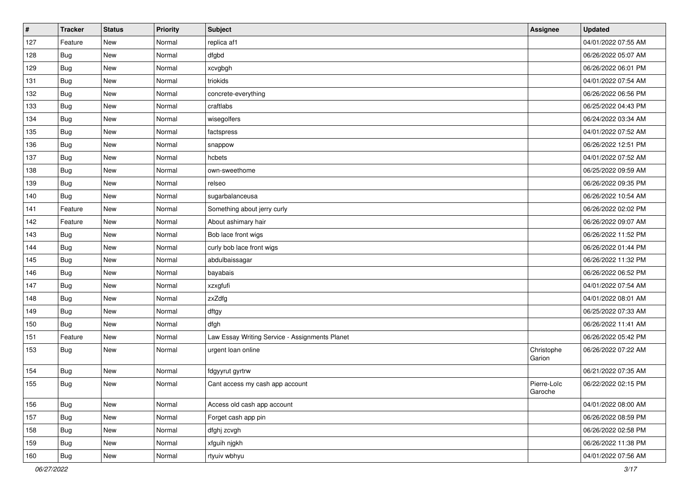| $\vert$ # | <b>Tracker</b> | <b>Status</b> | <b>Priority</b> | <b>Subject</b>                                 | Assignee               | <b>Updated</b>      |
|-----------|----------------|---------------|-----------------|------------------------------------------------|------------------------|---------------------|
| 127       | Feature        | New           | Normal          | replica af1                                    |                        | 04/01/2022 07:55 AM |
| 128       | Bug            | New           | Normal          | dfgbd                                          |                        | 06/26/2022 05:07 AM |
| 129       | Bug            | New           | Normal          | xcvgbgh                                        |                        | 06/26/2022 06:01 PM |
| 131       | <b>Bug</b>     | New           | Normal          | triokids                                       |                        | 04/01/2022 07:54 AM |
| 132       | <b>Bug</b>     | New           | Normal          | concrete-everything                            |                        | 06/26/2022 06:56 PM |
| 133       | Bug            | New           | Normal          | craftlabs                                      |                        | 06/25/2022 04:43 PM |
| 134       | Bug            | New           | Normal          | wisegolfers                                    |                        | 06/24/2022 03:34 AM |
| 135       | Bug            | New           | Normal          | factspress                                     |                        | 04/01/2022 07:52 AM |
| 136       | Bug            | New           | Normal          | snappow                                        |                        | 06/26/2022 12:51 PM |
| 137       | <b>Bug</b>     | New           | Normal          | hcbets                                         |                        | 04/01/2022 07:52 AM |
| 138       | Bug            | New           | Normal          | own-sweethome                                  |                        | 06/25/2022 09:59 AM |
| 139       | Bug            | New           | Normal          | relseo                                         |                        | 06/26/2022 09:35 PM |
| 140       | Bug            | New           | Normal          | sugarbalanceusa                                |                        | 06/26/2022 10:54 AM |
| 141       | Feature        | New           | Normal          | Something about jerry curly                    |                        | 06/26/2022 02:02 PM |
| 142       | Feature        | New           | Normal          | About ashimary hair                            |                        | 06/26/2022 09:07 AM |
| 143       | Bug            | New           | Normal          | Bob lace front wigs                            |                        | 06/26/2022 11:52 PM |
| 144       | Bug            | New           | Normal          | curly bob lace front wigs                      |                        | 06/26/2022 01:44 PM |
| 145       | <b>Bug</b>     | New           | Normal          | abdulbaissagar                                 |                        | 06/26/2022 11:32 PM |
| 146       | <b>Bug</b>     | New           | Normal          | bayabais                                       |                        | 06/26/2022 06:52 PM |
| 147       | Bug            | New           | Normal          | xzxgfufi                                       |                        | 04/01/2022 07:54 AM |
| 148       | Bug            | New           | Normal          | zxZdfg                                         |                        | 04/01/2022 08:01 AM |
| 149       | Bug            | New           | Normal          | dftgy                                          |                        | 06/25/2022 07:33 AM |
| 150       | Bug            | New           | Normal          | dfgh                                           |                        | 06/26/2022 11:41 AM |
| 151       | Feature        | New           | Normal          | Law Essay Writing Service - Assignments Planet |                        | 06/26/2022 05:42 PM |
| 153       | Bug            | New           | Normal          | urgent loan online                             | Christophe<br>Garion   | 06/26/2022 07:22 AM |
| 154       | <b>Bug</b>     | New           | Normal          | fdgyyrut gyrtrw                                |                        | 06/21/2022 07:35 AM |
| 155       | Bug            | New           | Normal          | Cant access my cash app account                | Pierre-Loïc<br>Garoche | 06/22/2022 02:15 PM |
| 156       | <b>Bug</b>     | New           | Normal          | Access old cash app account                    |                        | 04/01/2022 08:00 AM |
| 157       | Bug            | New           | Normal          | Forget cash app pin                            |                        | 06/26/2022 08:59 PM |
| 158       | <b>Bug</b>     | New           | Normal          | dfghj zcvgh                                    |                        | 06/26/2022 02:58 PM |
| 159       | <b>Bug</b>     | New           | Normal          | xfguih njgkh                                   |                        | 06/26/2022 11:38 PM |
| 160       | <b>Bug</b>     | New           | Normal          | rtyuiv wbhyu                                   |                        | 04/01/2022 07:56 AM |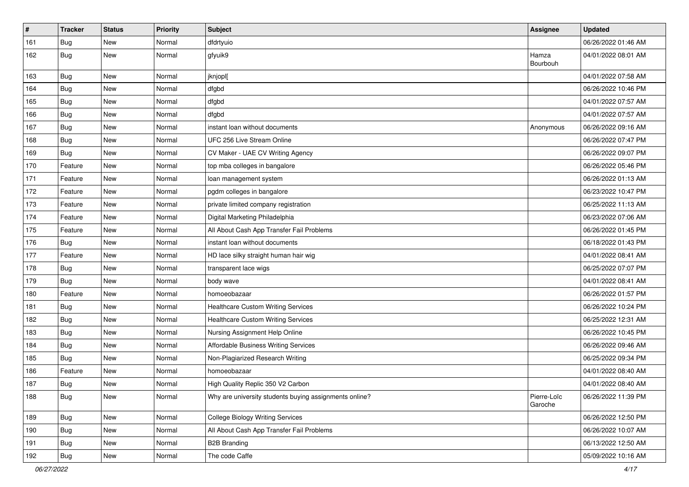| $\vert$ # | <b>Tracker</b> | <b>Status</b> | <b>Priority</b> | Subject                                                | Assignee               | <b>Updated</b>      |
|-----------|----------------|---------------|-----------------|--------------------------------------------------------|------------------------|---------------------|
| 161       | <b>Bug</b>     | New           | Normal          | dfdrtyuio                                              |                        | 06/26/2022 01:46 AM |
| 162       | Bug            | New           | Normal          | gfyuik9                                                | Hamza<br>Bourbouh      | 04/01/2022 08:01 AM |
| 163       | Bug            | New           | Normal          | jknjopl[                                               |                        | 04/01/2022 07:58 AM |
| 164       | Bug            | New           | Normal          | dfgbd                                                  |                        | 06/26/2022 10:46 PM |
| 165       | Bug            | New           | Normal          | dfgbd                                                  |                        | 04/01/2022 07:57 AM |
| 166       | Bug            | New           | Normal          | dfgbd                                                  |                        | 04/01/2022 07:57 AM |
| 167       | <b>Bug</b>     | New           | Normal          | instant loan without documents                         | Anonymous              | 06/26/2022 09:16 AM |
| 168       | <b>Bug</b>     | New           | Normal          | UFC 256 Live Stream Online                             |                        | 06/26/2022 07:47 PM |
| 169       | Bug            | New           | Normal          | CV Maker - UAE CV Writing Agency                       |                        | 06/26/2022 09:07 PM |
| 170       | Feature        | New           | Normal          | top mba colleges in bangalore                          |                        | 06/26/2022 05:46 PM |
| 171       | Feature        | New           | Normal          | loan management system                                 |                        | 06/26/2022 01:13 AM |
| 172       | Feature        | New           | Normal          | pgdm colleges in bangalore                             |                        | 06/23/2022 10:47 PM |
| 173       | Feature        | New           | Normal          | private limited company registration                   |                        | 06/25/2022 11:13 AM |
| 174       | Feature        | New           | Normal          | Digital Marketing Philadelphia                         |                        | 06/23/2022 07:06 AM |
| 175       | Feature        | New           | Normal          | All About Cash App Transfer Fail Problems              |                        | 06/26/2022 01:45 PM |
| 176       | <b>Bug</b>     | New           | Normal          | instant loan without documents                         |                        | 06/18/2022 01:43 PM |
| 177       | Feature        | New           | Normal          | HD lace silky straight human hair wig                  |                        | 04/01/2022 08:41 AM |
| 178       | Bug            | New           | Normal          | transparent lace wigs                                  |                        | 06/25/2022 07:07 PM |
| 179       | Bug            | New           | Normal          | body wave                                              |                        | 04/01/2022 08:41 AM |
| 180       | Feature        | New           | Normal          | homoeobazaar                                           |                        | 06/26/2022 01:57 PM |
| 181       | Bug            | New           | Normal          | <b>Healthcare Custom Writing Services</b>              |                        | 06/26/2022 10:24 PM |
| 182       | <b>Bug</b>     | New           | Normal          | <b>Healthcare Custom Writing Services</b>              |                        | 06/25/2022 12:31 AM |
| 183       | Bug            | New           | Normal          | Nursing Assignment Help Online                         |                        | 06/26/2022 10:45 PM |
| 184       | <b>Bug</b>     | New           | Normal          | Affordable Business Writing Services                   |                        | 06/26/2022 09:46 AM |
| 185       | Bug            | New           | Normal          | Non-Plagiarized Research Writing                       |                        | 06/25/2022 09:34 PM |
| 186       | Feature        | New           | Normal          | homoeobazaar                                           |                        | 04/01/2022 08:40 AM |
| 187       | Bug            | New           | Normal          | High Quality Replic 350 V2 Carbon                      |                        | 04/01/2022 08:40 AM |
| 188       | <b>Bug</b>     | New           | Normal          | Why are university students buying assignments online? | Pierre-Loïc<br>Garoche | 06/26/2022 11:39 PM |
| 189       | <b>Bug</b>     | New           | Normal          | <b>College Biology Writing Services</b>                |                        | 06/26/2022 12:50 PM |
| 190       | <b>Bug</b>     | New           | Normal          | All About Cash App Transfer Fail Problems              |                        | 06/26/2022 10:07 AM |
| 191       | <b>Bug</b>     | New           | Normal          | <b>B2B Branding</b>                                    |                        | 06/13/2022 12:50 AM |
| 192       | Bug            | New           | Normal          | The code Caffe                                         |                        | 05/09/2022 10:16 AM |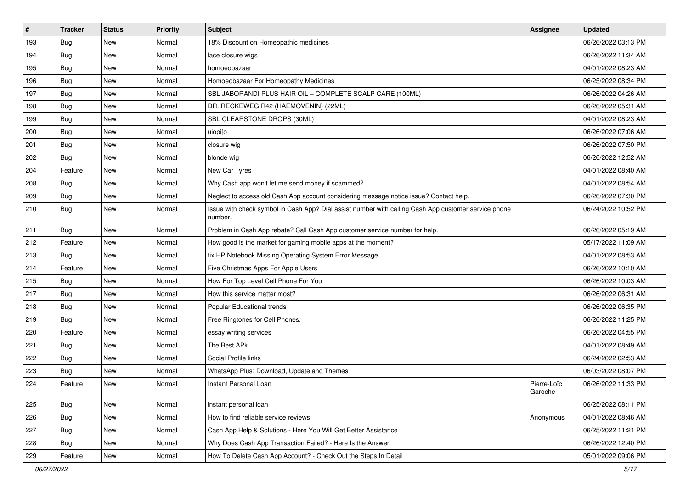| $\sharp$ | <b>Tracker</b> | <b>Status</b> | Priority | <b>Subject</b>                                                                                                  | Assignee               | <b>Updated</b>      |
|----------|----------------|---------------|----------|-----------------------------------------------------------------------------------------------------------------|------------------------|---------------------|
| 193      | Bug            | New           | Normal   | 18% Discount on Homeopathic medicines                                                                           |                        | 06/26/2022 03:13 PM |
| 194      | Bug            | <b>New</b>    | Normal   | lace closure wigs                                                                                               |                        | 06/26/2022 11:34 AM |
| 195      | Bug            | New           | Normal   | homoeobazaar                                                                                                    |                        | 04/01/2022 08:23 AM |
| 196      | Bug            | New           | Normal   | Homoeobazaar For Homeopathy Medicines                                                                           |                        | 06/25/2022 08:34 PM |
| 197      | Bug            | <b>New</b>    | Normal   | SBL JABORANDI PLUS HAIR OIL - COMPLETE SCALP CARE (100ML)                                                       |                        | 06/26/2022 04:26 AM |
| 198      | Bug            | New           | Normal   | DR. RECKEWEG R42 (HAEMOVENIN) (22ML)                                                                            |                        | 06/26/2022 05:31 AM |
| 199      | Bug            | <b>New</b>    | Normal   | SBL CLEARSTONE DROPS (30ML)                                                                                     |                        | 04/01/2022 08:23 AM |
| 200      | Bug            | New           | Normal   | uiopi[o                                                                                                         |                        | 06/26/2022 07:06 AM |
| 201      | Bug            | <b>New</b>    | Normal   | closure wig                                                                                                     |                        | 06/26/2022 07:50 PM |
| 202      | Bug            | <b>New</b>    | Normal   | blonde wig                                                                                                      |                        | 06/26/2022 12:52 AM |
| 204      | Feature        | New           | Normal   | New Car Tyres                                                                                                   |                        | 04/01/2022 08:40 AM |
| 208      | Bug            | New           | Normal   | Why Cash app won't let me send money if scammed?                                                                |                        | 04/01/2022 08:54 AM |
| 209      | Bug            | <b>New</b>    | Normal   | Neglect to access old Cash App account considering message notice issue? Contact help.                          |                        | 06/26/2022 07:30 PM |
| 210      | Bug            | New           | Normal   | Issue with check symbol in Cash App? Dial assist number with calling Cash App customer service phone<br>number. |                        | 06/24/2022 10:52 PM |
| 211      | Bug            | New           | Normal   | Problem in Cash App rebate? Call Cash App customer service number for help.                                     |                        | 06/26/2022 05:19 AM |
| 212      | Feature        | <b>New</b>    | Normal   | How good is the market for gaming mobile apps at the moment?                                                    |                        | 05/17/2022 11:09 AM |
| 213      | Bug            | New           | Normal   | fix HP Notebook Missing Operating System Error Message                                                          |                        | 04/01/2022 08:53 AM |
| 214      | Feature        | New           | Normal   | Five Christmas Apps For Apple Users                                                                             |                        | 06/26/2022 10:10 AM |
| 215      | Bug            | <b>New</b>    | Normal   | How For Top Level Cell Phone For You                                                                            |                        | 06/26/2022 10:03 AM |
| 217      | Bug            | <b>New</b>    | Normal   | How this service matter most?                                                                                   |                        | 06/26/2022 06:31 AM |
| 218      | Bug            | <b>New</b>    | Normal   | Popular Educational trends                                                                                      |                        | 06/26/2022 06:35 PM |
| 219      | Bug            | <b>New</b>    | Normal   | Free Ringtones for Cell Phones.                                                                                 |                        | 06/26/2022 11:25 PM |
| 220      | Feature        | New           | Normal   | essay writing services                                                                                          |                        | 06/26/2022 04:55 PM |
| 221      | Bug            | <b>New</b>    | Normal   | The Best APk                                                                                                    |                        | 04/01/2022 08:49 AM |
| 222      | Bug            | <b>New</b>    | Normal   | Social Profile links                                                                                            |                        | 06/24/2022 02:53 AM |
| 223      | <b>Bug</b>     | New           | Normal   | WhatsApp Plus: Download, Update and Themes                                                                      |                        | 06/03/2022 08:07 PM |
| 224      | Feature        | <b>New</b>    | Normal   | Instant Personal Loan                                                                                           | Pierre-Loïc<br>Garoche | 06/26/2022 11:33 PM |
| 225      | Bug            | New           | Normal   | instant personal loan                                                                                           |                        | 06/25/2022 08:11 PM |
| 226      | Bug            | New           | Normal   | How to find reliable service reviews                                                                            | Anonymous              | 04/01/2022 08:46 AM |
| 227      | Bug            | New           | Normal   | Cash App Help & Solutions - Here You Will Get Better Assistance                                                 |                        | 06/25/2022 11:21 PM |
| 228      | Bug            | New           | Normal   | Why Does Cash App Transaction Failed? - Here Is the Answer                                                      |                        | 06/26/2022 12:40 PM |
| 229      | Feature        | New           | Normal   | How To Delete Cash App Account? - Check Out the Steps In Detail                                                 |                        | 05/01/2022 09:06 PM |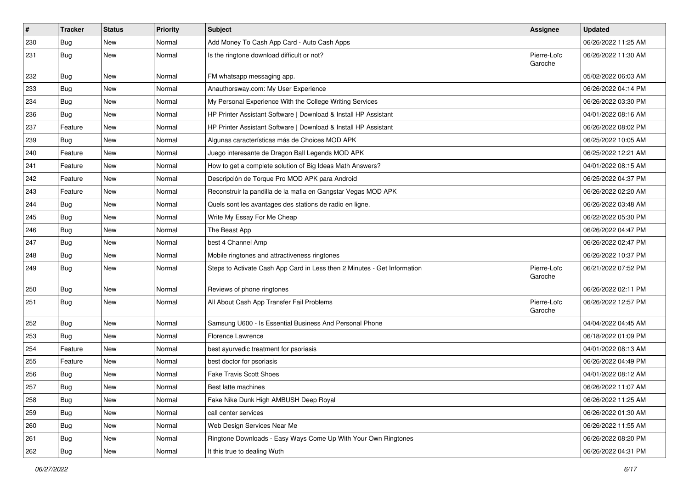| $\vert$ # | <b>Tracker</b> | <b>Status</b> | <b>Priority</b> | <b>Subject</b>                                                           | Assignee               | <b>Updated</b>      |
|-----------|----------------|---------------|-----------------|--------------------------------------------------------------------------|------------------------|---------------------|
| 230       | Bug            | New           | Normal          | Add Money To Cash App Card - Auto Cash Apps                              |                        | 06/26/2022 11:25 AM |
| 231       | Bug            | New           | Normal          | Is the ringtone download difficult or not?                               | Pierre-Loïc<br>Garoche | 06/26/2022 11:30 AM |
| 232       | Bug            | <b>New</b>    | Normal          | FM whatsapp messaging app.                                               |                        | 05/02/2022 06:03 AM |
| 233       | Bug            | <b>New</b>    | Normal          | Anauthorsway.com: My User Experience                                     |                        | 06/26/2022 04:14 PM |
| 234       | Bug            | New           | Normal          | My Personal Experience With the College Writing Services                 |                        | 06/26/2022 03:30 PM |
| 236       | Bug            | <b>New</b>    | Normal          | HP Printer Assistant Software   Download & Install HP Assistant          |                        | 04/01/2022 08:16 AM |
| 237       | Feature        | New           | Normal          | HP Printer Assistant Software   Download & Install HP Assistant          |                        | 06/26/2022 08:02 PM |
| 239       | Bug            | <b>New</b>    | Normal          | Algunas características más de Choices MOD APK                           |                        | 06/25/2022 10:05 AM |
| 240       | Feature        | New           | Normal          | Juego interesante de Dragon Ball Legends MOD APK                         |                        | 06/25/2022 12:21 AM |
| 241       | Feature        | New           | Normal          | How to get a complete solution of Big Ideas Math Answers?                |                        | 04/01/2022 08:15 AM |
| 242       | Feature        | New           | Normal          | Descripción de Torque Pro MOD APK para Android                           |                        | 06/25/2022 04:37 PM |
| 243       | Feature        | New           | Normal          | Reconstruir la pandilla de la mafia en Gangstar Vegas MOD APK            |                        | 06/26/2022 02:20 AM |
| 244       | Bug            | New           | Normal          | Quels sont les avantages des stations de radio en ligne.                 |                        | 06/26/2022 03:48 AM |
| 245       | Bug            | <b>New</b>    | Normal          | Write My Essay For Me Cheap                                              |                        | 06/22/2022 05:30 PM |
| 246       | Bug            | New           | Normal          | The Beast App                                                            |                        | 06/26/2022 04:47 PM |
| 247       | Bug            | New           | Normal          | best 4 Channel Amp                                                       |                        | 06/26/2022 02:47 PM |
| 248       | Bug            | <b>New</b>    | Normal          | Mobile ringtones and attractiveness ringtones                            |                        | 06/26/2022 10:37 PM |
| 249       | Bug            | New           | Normal          | Steps to Activate Cash App Card in Less then 2 Minutes - Get Information | Pierre-Loïc<br>Garoche | 06/21/2022 07:52 PM |
| 250       | Bug            | New           | Normal          | Reviews of phone ringtones                                               |                        | 06/26/2022 02:11 PM |
| 251       | Bug            | <b>New</b>    | Normal          | All About Cash App Transfer Fail Problems                                | Pierre-Loïc<br>Garoche | 06/26/2022 12:57 PM |
| 252       | Bug            | New           | Normal          | Samsung U600 - Is Essential Business And Personal Phone                  |                        | 04/04/2022 04:45 AM |
| 253       | Bug            | <b>New</b>    | Normal          | Florence Lawrence                                                        |                        | 06/18/2022 01:09 PM |
| 254       | Feature        | New           | Normal          | best ayurvedic treatment for psoriasis                                   |                        | 04/01/2022 08:13 AM |
| 255       | Feature        | New           | Normal          | best doctor for psoriasis                                                |                        | 06/26/2022 04:49 PM |
| 256       | Bug            | <b>New</b>    | Normal          | <b>Fake Travis Scott Shoes</b>                                           |                        | 04/01/2022 08:12 AM |
| 257       | Bug            | New           | Normal          | Best latte machines                                                      |                        | 06/26/2022 11:07 AM |
| 258       | Bug            | New           | Normal          | Fake Nike Dunk High AMBUSH Deep Royal                                    |                        | 06/26/2022 11:25 AM |
| 259       | Bug            | New           | Normal          | call center services                                                     |                        | 06/26/2022 01:30 AM |
| 260       | <b>Bug</b>     | New           | Normal          | Web Design Services Near Me                                              |                        | 06/26/2022 11:55 AM |
| 261       | Bug            | New           | Normal          | Ringtone Downloads - Easy Ways Come Up With Your Own Ringtones           |                        | 06/26/2022 08:20 PM |
| 262       | <b>Bug</b>     | New           | Normal          | It this true to dealing Wuth                                             |                        | 06/26/2022 04:31 PM |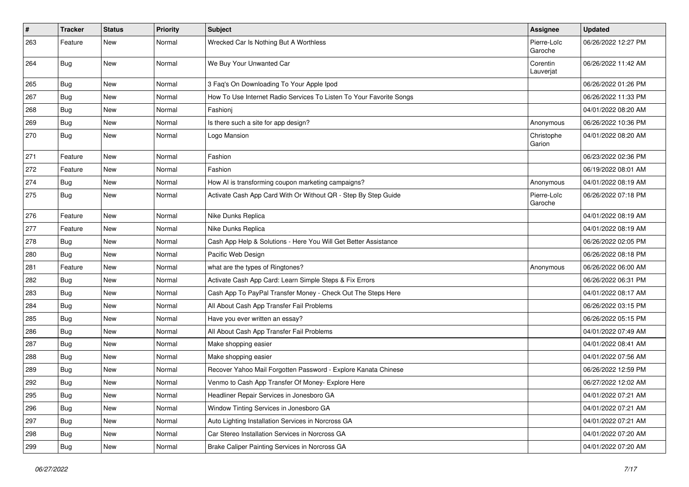| #   | <b>Tracker</b> | <b>Status</b> | <b>Priority</b> | <b>Subject</b>                                                      | <b>Assignee</b>        | <b>Updated</b>      |
|-----|----------------|---------------|-----------------|---------------------------------------------------------------------|------------------------|---------------------|
| 263 | Feature        | New           | Normal          | Wrecked Car Is Nothing But A Worthless                              | Pierre-Loïc<br>Garoche | 06/26/2022 12:27 PM |
| 264 | Bug            | <b>New</b>    | Normal          | We Buy Your Unwanted Car                                            | Corentin<br>Lauverjat  | 06/26/2022 11:42 AM |
| 265 | Bug            | <b>New</b>    | Normal          | 3 Faq's On Downloading To Your Apple Ipod                           |                        | 06/26/2022 01:26 PM |
| 267 | Bug            | New           | Normal          | How To Use Internet Radio Services To Listen To Your Favorite Songs |                        | 06/26/2022 11:33 PM |
| 268 | Bug            | <b>New</b>    | Normal          | Fashionj                                                            |                        | 04/01/2022 08:20 AM |
| 269 | Bug            | New           | Normal          | Is there such a site for app design?                                | Anonymous              | 06/26/2022 10:36 PM |
| 270 | Bug            | <b>New</b>    | Normal          | Logo Mansion                                                        | Christophe<br>Garion   | 04/01/2022 08:20 AM |
| 271 | Feature        | New           | Normal          | Fashion                                                             |                        | 06/23/2022 02:36 PM |
| 272 | Feature        | <b>New</b>    | Normal          | Fashion                                                             |                        | 06/19/2022 08:01 AM |
| 274 | Bug            | <b>New</b>    | Normal          | How AI is transforming coupon marketing campaigns?                  | Anonymous              | 04/01/2022 08:19 AM |
| 275 | Bug            | New           | Normal          | Activate Cash App Card With Or Without QR - Step By Step Guide      | Pierre-Loïc<br>Garoche | 06/26/2022 07:18 PM |
| 276 | Feature        | New           | Normal          | Nike Dunks Replica                                                  |                        | 04/01/2022 08:19 AM |
| 277 | Feature        | <b>New</b>    | Normal          | Nike Dunks Replica                                                  |                        | 04/01/2022 08:19 AM |
| 278 | Bug            | <b>New</b>    | Normal          | Cash App Help & Solutions - Here You Will Get Better Assistance     |                        | 06/26/2022 02:05 PM |
| 280 | Bug            | New           | Normal          | Pacific Web Design                                                  |                        | 06/26/2022 08:18 PM |
| 281 | Feature        | <b>New</b>    | Normal          | what are the types of Ringtones?                                    | Anonymous              | 06/26/2022 06:00 AM |
| 282 | Bug            | New           | Normal          | Activate Cash App Card: Learn Simple Steps & Fix Errors             |                        | 06/26/2022 06:31 PM |
| 283 | Bug            | New           | Normal          | Cash App To PayPal Transfer Money - Check Out The Steps Here        |                        | 04/01/2022 08:17 AM |
| 284 | Bug            | <b>New</b>    | Normal          | All About Cash App Transfer Fail Problems                           |                        | 06/26/2022 03:15 PM |
| 285 | Bug            | New           | Normal          | Have you ever written an essay?                                     |                        | 06/26/2022 05:15 PM |
| 286 | Bug            | <b>New</b>    | Normal          | All About Cash App Transfer Fail Problems                           |                        | 04/01/2022 07:49 AM |
| 287 | Bug            | <b>New</b>    | Normal          | Make shopping easier                                                |                        | 04/01/2022 08:41 AM |
| 288 | Bug            | <b>New</b>    | Normal          | Make shopping easier                                                |                        | 04/01/2022 07:56 AM |
| 289 | Bug            | <b>New</b>    | Normal          | Recover Yahoo Mail Forgotten Password - Explore Kanata Chinese      |                        | 06/26/2022 12:59 PM |
| 292 | Bug            | New           | Normal          | Venmo to Cash App Transfer Of Money- Explore Here                   |                        | 06/27/2022 12:02 AM |
| 295 | <b>Bug</b>     | New           | Normal          | Headliner Repair Services in Jonesboro GA                           |                        | 04/01/2022 07:21 AM |
| 296 | <b>Bug</b>     | New           | Normal          | Window Tinting Services in Jonesboro GA                             |                        | 04/01/2022 07:21 AM |
| 297 | Bug            | New           | Normal          | Auto Lighting Installation Services in Norcross GA                  |                        | 04/01/2022 07:21 AM |
| 298 | Bug            | New           | Normal          | Car Stereo Installation Services in Norcross GA                     |                        | 04/01/2022 07:20 AM |
| 299 | Bug            | New           | Normal          | Brake Caliper Painting Services in Norcross GA                      |                        | 04/01/2022 07:20 AM |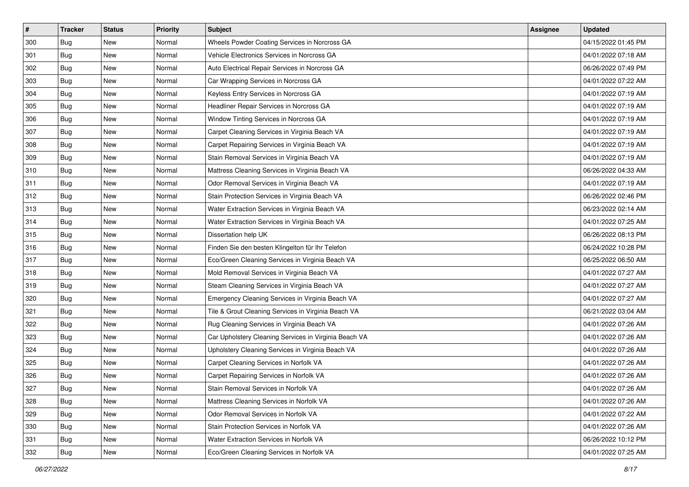| $\sharp$ | <b>Tracker</b> | <b>Status</b> | <b>Priority</b> | <b>Subject</b>                                        | <b>Assignee</b> | <b>Updated</b>      |
|----------|----------------|---------------|-----------------|-------------------------------------------------------|-----------------|---------------------|
| 300      | Bug            | New           | Normal          | Wheels Powder Coating Services in Norcross GA         |                 | 04/15/2022 01:45 PM |
| 301      | Bug            | <b>New</b>    | Normal          | Vehicle Electronics Services in Norcross GA           |                 | 04/01/2022 07:18 AM |
| 302      | Bug            | New           | Normal          | Auto Electrical Repair Services in Norcross GA        |                 | 06/26/2022 07:49 PM |
| 303      | Bug            | New           | Normal          | Car Wrapping Services in Norcross GA                  |                 | 04/01/2022 07:22 AM |
| 304      | Bug            | <b>New</b>    | Normal          | Keyless Entry Services in Norcross GA                 |                 | 04/01/2022 07:19 AM |
| 305      | Bug            | New           | Normal          | Headliner Repair Services in Norcross GA              |                 | 04/01/2022 07:19 AM |
| 306      | Bug            | <b>New</b>    | Normal          | Window Tinting Services in Norcross GA                |                 | 04/01/2022 07:19 AM |
| 307      | Bug            | New           | Normal          | Carpet Cleaning Services in Virginia Beach VA         |                 | 04/01/2022 07:19 AM |
| 308      | Bug            | <b>New</b>    | Normal          | Carpet Repairing Services in Virginia Beach VA        |                 | 04/01/2022 07:19 AM |
| 309      | Bug            | <b>New</b>    | Normal          | Stain Removal Services in Virginia Beach VA           |                 | 04/01/2022 07:19 AM |
| 310      | Bug            | <b>New</b>    | Normal          | Mattress Cleaning Services in Virginia Beach VA       |                 | 06/26/2022 04:33 AM |
| 311      | Bug            | New           | Normal          | Odor Removal Services in Virginia Beach VA            |                 | 04/01/2022 07:19 AM |
| 312      | Bug            | New           | Normal          | Stain Protection Services in Virginia Beach VA        |                 | 06/26/2022 02:46 PM |
| 313      | Bug            | New           | Normal          | Water Extraction Services in Virginia Beach VA        |                 | 06/23/2022 02:14 AM |
| 314      | Bug            | New           | Normal          | Water Extraction Services in Virginia Beach VA        |                 | 04/01/2022 07:25 AM |
| 315      | Bug            | New           | Normal          | Dissertation help UK                                  |                 | 06/26/2022 08:13 PM |
| 316      | Bug            | New           | Normal          | Finden Sie den besten Klingelton für Ihr Telefon      |                 | 06/24/2022 10:28 PM |
| 317      | Bug            | <b>New</b>    | Normal          | Eco/Green Cleaning Services in Virginia Beach VA      |                 | 06/25/2022 06:50 AM |
| 318      | Bug            | <b>New</b>    | Normal          | Mold Removal Services in Virginia Beach VA            |                 | 04/01/2022 07:27 AM |
| 319      | Bug            | <b>New</b>    | Normal          | Steam Cleaning Services in Virginia Beach VA          |                 | 04/01/2022 07:27 AM |
| 320      | Bug            | New           | Normal          | Emergency Cleaning Services in Virginia Beach VA      |                 | 04/01/2022 07:27 AM |
| 321      | Bug            | <b>New</b>    | Normal          | Tile & Grout Cleaning Services in Virginia Beach VA   |                 | 06/21/2022 03:04 AM |
| 322      | Bug            | <b>New</b>    | Normal          | Rug Cleaning Services in Virginia Beach VA            |                 | 04/01/2022 07:26 AM |
| 323      | Bug            | New           | Normal          | Car Upholstery Cleaning Services in Virginia Beach VA |                 | 04/01/2022 07:26 AM |
| 324      | Bug            | <b>New</b>    | Normal          | Upholstery Cleaning Services in Virginia Beach VA     |                 | 04/01/2022 07:26 AM |
| 325      | Bug            | New           | Normal          | Carpet Cleaning Services in Norfolk VA                |                 | 04/01/2022 07:26 AM |
| 326      | <b>Bug</b>     | New           | Normal          | Carpet Repairing Services in Norfolk VA               |                 | 04/01/2022 07:26 AM |
| 327      | <b>Bug</b>     | New           | Normal          | Stain Removal Services in Norfolk VA                  |                 | 04/01/2022 07:26 AM |
| 328      | Bug            | New           | Normal          | Mattress Cleaning Services in Norfolk VA              |                 | 04/01/2022 07:26 AM |
| 329      | Bug            | New           | Normal          | Odor Removal Services in Norfolk VA                   |                 | 04/01/2022 07:22 AM |
| 330      | Bug            | New           | Normal          | Stain Protection Services in Norfolk VA               |                 | 04/01/2022 07:26 AM |
| 331      | Bug            | New           | Normal          | Water Extraction Services in Norfolk VA               |                 | 06/26/2022 10:12 PM |
| 332      | <b>Bug</b>     | New           | Normal          | Eco/Green Cleaning Services in Norfolk VA             |                 | 04/01/2022 07:25 AM |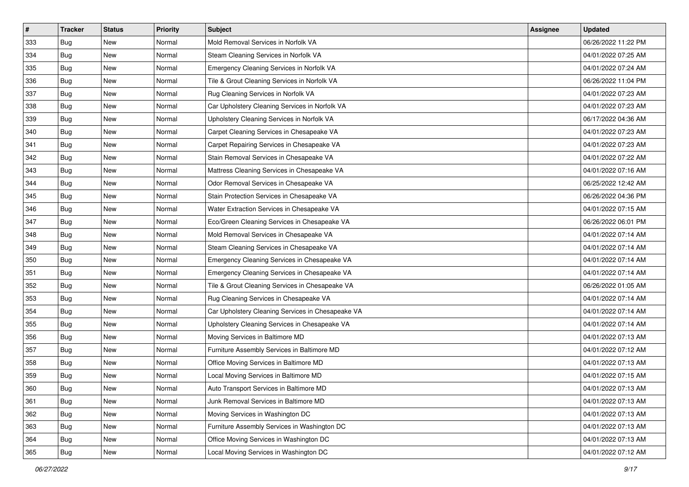| $\sharp$ | <b>Tracker</b> | <b>Status</b> | <b>Priority</b> | <b>Subject</b>                                    | <b>Assignee</b> | <b>Updated</b>      |
|----------|----------------|---------------|-----------------|---------------------------------------------------|-----------------|---------------------|
| 333      | Bug            | New           | Normal          | Mold Removal Services in Norfolk VA               |                 | 06/26/2022 11:22 PM |
| 334      | Bug            | <b>New</b>    | Normal          | Steam Cleaning Services in Norfolk VA             |                 | 04/01/2022 07:25 AM |
| 335      | Bug            | <b>New</b>    | Normal          | Emergency Cleaning Services in Norfolk VA         |                 | 04/01/2022 07:24 AM |
| 336      | Bug            | New           | Normal          | Tile & Grout Cleaning Services in Norfolk VA      |                 | 06/26/2022 11:04 PM |
| 337      | Bug            | New           | Normal          | Rug Cleaning Services in Norfolk VA               |                 | 04/01/2022 07:23 AM |
| 338      | Bug            | New           | Normal          | Car Upholstery Cleaning Services in Norfolk VA    |                 | 04/01/2022 07:23 AM |
| 339      | Bug            | <b>New</b>    | Normal          | Upholstery Cleaning Services in Norfolk VA        |                 | 06/17/2022 04:36 AM |
| 340      | Bug            | New           | Normal          | Carpet Cleaning Services in Chesapeake VA         |                 | 04/01/2022 07:23 AM |
| 341      | Bug            | <b>New</b>    | Normal          | Carpet Repairing Services in Chesapeake VA        |                 | 04/01/2022 07:23 AM |
| 342      | Bug            | <b>New</b>    | Normal          | Stain Removal Services in Chesapeake VA           |                 | 04/01/2022 07:22 AM |
| 343      | Bug            | <b>New</b>    | Normal          | Mattress Cleaning Services in Chesapeake VA       |                 | 04/01/2022 07:16 AM |
| 344      | Bug            | New           | Normal          | Odor Removal Services in Chesapeake VA            |                 | 06/25/2022 12:42 AM |
| 345      | Bug            | New           | Normal          | Stain Protection Services in Chesapeake VA        |                 | 06/26/2022 04:36 PM |
| 346      | Bug            | New           | Normal          | Water Extraction Services in Chesapeake VA        |                 | 04/01/2022 07:15 AM |
| 347      | Bug            | <b>New</b>    | Normal          | Eco/Green Cleaning Services in Chesapeake VA      |                 | 06/26/2022 06:01 PM |
| 348      | Bug            | New           | Normal          | Mold Removal Services in Chesapeake VA            |                 | 04/01/2022 07:14 AM |
| 349      | Bug            | New           | Normal          | Steam Cleaning Services in Chesapeake VA          |                 | 04/01/2022 07:14 AM |
| 350      | Bug            | <b>New</b>    | Normal          | Emergency Cleaning Services in Chesapeake VA      |                 | 04/01/2022 07:14 AM |
| 351      | Bug            | <b>New</b>    | Normal          | Emergency Cleaning Services in Chesapeake VA      |                 | 04/01/2022 07:14 AM |
| 352      | Bug            | <b>New</b>    | Normal          | Tile & Grout Cleaning Services in Chesapeake VA   |                 | 06/26/2022 01:05 AM |
| 353      | Bug            | New           | Normal          | Rug Cleaning Services in Chesapeake VA            |                 | 04/01/2022 07:14 AM |
| 354      | Bug            | <b>New</b>    | Normal          | Car Upholstery Cleaning Services in Chesapeake VA |                 | 04/01/2022 07:14 AM |
| 355      | Bug            | <b>New</b>    | Normal          | Upholstery Cleaning Services in Chesapeake VA     |                 | 04/01/2022 07:14 AM |
| 356      | Bug            | New           | Normal          | Moving Services in Baltimore MD                   |                 | 04/01/2022 07:13 AM |
| 357      | Bug            | <b>New</b>    | Normal          | Furniture Assembly Services in Baltimore MD       |                 | 04/01/2022 07:12 AM |
| 358      | Bug            | New           | Normal          | Office Moving Services in Baltimore MD            |                 | 04/01/2022 07:13 AM |
| 359      | <b>Bug</b>     | New           | Normal          | Local Moving Services in Baltimore MD             |                 | 04/01/2022 07:15 AM |
| 360      | <b>Bug</b>     | New           | Normal          | Auto Transport Services in Baltimore MD           |                 | 04/01/2022 07:13 AM |
| 361      | Bug            | New           | Normal          | Junk Removal Services in Baltimore MD             |                 | 04/01/2022 07:13 AM |
| 362      | Bug            | New           | Normal          | Moving Services in Washington DC                  |                 | 04/01/2022 07:13 AM |
| 363      | Bug            | New           | Normal          | Furniture Assembly Services in Washington DC      |                 | 04/01/2022 07:13 AM |
| 364      | Bug            | New           | Normal          | Office Moving Services in Washington DC           |                 | 04/01/2022 07:13 AM |
| 365      | <b>Bug</b>     | New           | Normal          | Local Moving Services in Washington DC            |                 | 04/01/2022 07:12 AM |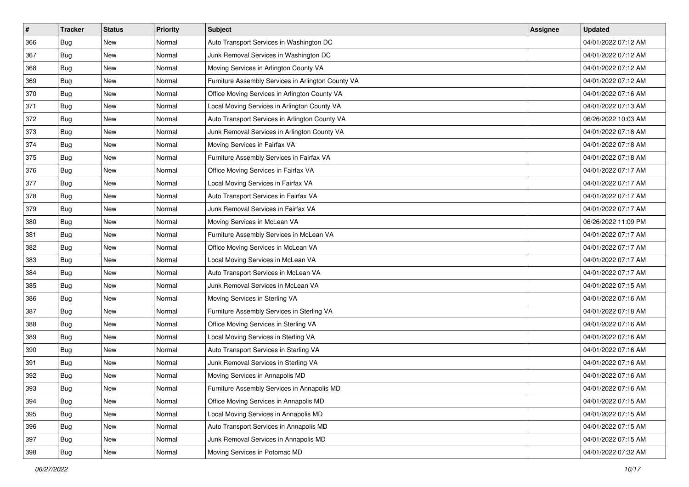| $\vert$ # | <b>Tracker</b> | <b>Status</b> | <b>Priority</b> | <b>Subject</b>                                     | <b>Assignee</b> | <b>Updated</b>      |
|-----------|----------------|---------------|-----------------|----------------------------------------------------|-----------------|---------------------|
| 366       | Bug            | New           | Normal          | Auto Transport Services in Washington DC           |                 | 04/01/2022 07:12 AM |
| 367       | Bug            | New           | Normal          | Junk Removal Services in Washington DC             |                 | 04/01/2022 07:12 AM |
| 368       | Bug            | New           | Normal          | Moving Services in Arlington County VA             |                 | 04/01/2022 07:12 AM |
| 369       | Bug            | New           | Normal          | Furniture Assembly Services in Arlington County VA |                 | 04/01/2022 07:12 AM |
| 370       | Bug            | <b>New</b>    | Normal          | Office Moving Services in Arlington County VA      |                 | 04/01/2022 07:16 AM |
| 371       | <b>Bug</b>     | New           | Normal          | Local Moving Services in Arlington County VA       |                 | 04/01/2022 07:13 AM |
| 372       | Bug            | New           | Normal          | Auto Transport Services in Arlington County VA     |                 | 06/26/2022 10:03 AM |
| 373       | Bug            | New           | Normal          | Junk Removal Services in Arlington County VA       |                 | 04/01/2022 07:18 AM |
| 374       | Bug            | New           | Normal          | Moving Services in Fairfax VA                      |                 | 04/01/2022 07:18 AM |
| 375       | Bug            | <b>New</b>    | Normal          | Furniture Assembly Services in Fairfax VA          |                 | 04/01/2022 07:18 AM |
| 376       | Bug            | New           | Normal          | Office Moving Services in Fairfax VA               |                 | 04/01/2022 07:17 AM |
| 377       | Bug            | New           | Normal          | Local Moving Services in Fairfax VA                |                 | 04/01/2022 07:17 AM |
| 378       | Bug            | New           | Normal          | Auto Transport Services in Fairfax VA              |                 | 04/01/2022 07:17 AM |
| 379       | Bug            | New           | Normal          | Junk Removal Services in Fairfax VA                |                 | 04/01/2022 07:17 AM |
| 380       | Bug            | <b>New</b>    | Normal          | Moving Services in McLean VA                       |                 | 06/26/2022 11:09 PM |
| 381       | Bug            | New           | Normal          | Furniture Assembly Services in McLean VA           |                 | 04/01/2022 07:17 AM |
| 382       | Bug            | New           | Normal          | Office Moving Services in McLean VA                |                 | 04/01/2022 07:17 AM |
| 383       | Bug            | New           | Normal          | Local Moving Services in McLean VA                 |                 | 04/01/2022 07:17 AM |
| 384       | Bug            | New           | Normal          | Auto Transport Services in McLean VA               |                 | 04/01/2022 07:17 AM |
| 385       | Bug            | New           | Normal          | Junk Removal Services in McLean VA                 |                 | 04/01/2022 07:15 AM |
| 386       | Bug            | New           | Normal          | Moving Services in Sterling VA                     |                 | 04/01/2022 07:16 AM |
| 387       | Bug            | <b>New</b>    | Normal          | Furniture Assembly Services in Sterling VA         |                 | 04/01/2022 07:18 AM |
| 388       | Bug            | <b>New</b>    | Normal          | Office Moving Services in Sterling VA              |                 | 04/01/2022 07:16 AM |
| 389       | Bug            | New           | Normal          | Local Moving Services in Sterling VA               |                 | 04/01/2022 07:16 AM |
| 390       | Bug            | New           | Normal          | Auto Transport Services in Sterling VA             |                 | 04/01/2022 07:16 AM |
| 391       | Bug            | New           | Normal          | Junk Removal Services in Sterling VA               |                 | 04/01/2022 07:16 AM |
| 392       | Bug            | New           | Normal          | Moving Services in Annapolis MD                    |                 | 04/01/2022 07:16 AM |
| 393       | <b>Bug</b>     | New           | Normal          | Furniture Assembly Services in Annapolis MD        |                 | 04/01/2022 07:16 AM |
| 394       | Bug            | New           | Normal          | Office Moving Services in Annapolis MD             |                 | 04/01/2022 07:15 AM |
| 395       | Bug            | New           | Normal          | Local Moving Services in Annapolis MD              |                 | 04/01/2022 07:15 AM |
| 396       | Bug            | New           | Normal          | Auto Transport Services in Annapolis MD            |                 | 04/01/2022 07:15 AM |
| 397       | Bug            | New           | Normal          | Junk Removal Services in Annapolis MD              |                 | 04/01/2022 07:15 AM |
| 398       | <b>Bug</b>     | New           | Normal          | Moving Services in Potomac MD                      |                 | 04/01/2022 07:32 AM |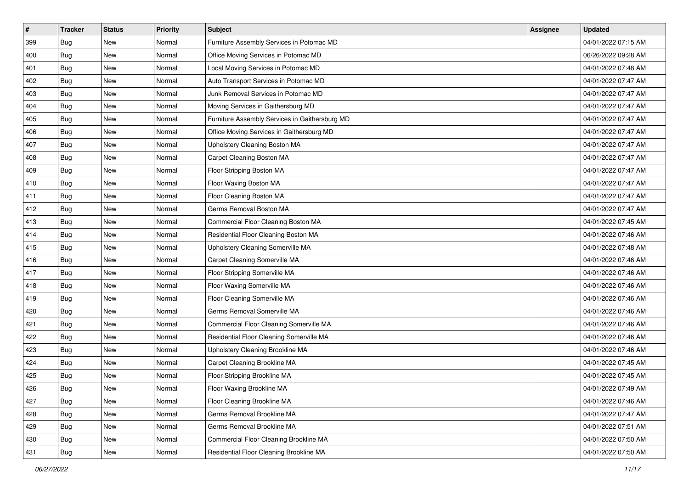| #   | <b>Tracker</b> | <b>Status</b> | <b>Priority</b> | Subject                                        | <b>Assignee</b> | <b>Updated</b>      |
|-----|----------------|---------------|-----------------|------------------------------------------------|-----------------|---------------------|
| 399 | Bug            | New           | Normal          | Furniture Assembly Services in Potomac MD      |                 | 04/01/2022 07:15 AM |
| 400 | <b>Bug</b>     | <b>New</b>    | Normal          | Office Moving Services in Potomac MD           |                 | 06/26/2022 09:28 AM |
| 401 | Bug            | New           | Normal          | Local Moving Services in Potomac MD            |                 | 04/01/2022 07:48 AM |
| 402 | Bug            | New           | Normal          | Auto Transport Services in Potomac MD          |                 | 04/01/2022 07:47 AM |
| 403 | Bug            | <b>New</b>    | Normal          | Junk Removal Services in Potomac MD            |                 | 04/01/2022 07:47 AM |
| 404 | Bug            | New           | Normal          | Moving Services in Gaithersburg MD             |                 | 04/01/2022 07:47 AM |
| 405 | Bug            | New           | Normal          | Furniture Assembly Services in Gaithersburg MD |                 | 04/01/2022 07:47 AM |
| 406 | Bug            | New           | Normal          | Office Moving Services in Gaithersburg MD      |                 | 04/01/2022 07:47 AM |
| 407 | Bug            | New           | Normal          | Upholstery Cleaning Boston MA                  |                 | 04/01/2022 07:47 AM |
| 408 | <b>Bug</b>     | <b>New</b>    | Normal          | Carpet Cleaning Boston MA                      |                 | 04/01/2022 07:47 AM |
| 409 | <b>Bug</b>     | New           | Normal          | Floor Stripping Boston MA                      |                 | 04/01/2022 07:47 AM |
| 410 | Bug            | New           | Normal          | Floor Waxing Boston MA                         |                 | 04/01/2022 07:47 AM |
| 411 | Bug            | New           | Normal          | Floor Cleaning Boston MA                       |                 | 04/01/2022 07:47 AM |
| 412 | Bug            | New           | Normal          | Germs Removal Boston MA                        |                 | 04/01/2022 07:47 AM |
| 413 | Bug            | New           | Normal          | Commercial Floor Cleaning Boston MA            |                 | 04/01/2022 07:45 AM |
| 414 | Bug            | New           | Normal          | Residential Floor Cleaning Boston MA           |                 | 04/01/2022 07:46 AM |
| 415 | Bug            | New           | Normal          | Upholstery Cleaning Somerville MA              |                 | 04/01/2022 07:48 AM |
| 416 | Bug            | New           | Normal          | Carpet Cleaning Somerville MA                  |                 | 04/01/2022 07:46 AM |
| 417 | Bug            | New           | Normal          | Floor Stripping Somerville MA                  |                 | 04/01/2022 07:46 AM |
| 418 | Bug            | <b>New</b>    | Normal          | Floor Waxing Somerville MA                     |                 | 04/01/2022 07:46 AM |
| 419 | Bug            | New           | Normal          | Floor Cleaning Somerville MA                   |                 | 04/01/2022 07:46 AM |
| 420 | Bug            | New           | Normal          | Germs Removal Somerville MA                    |                 | 04/01/2022 07:46 AM |
| 421 | <b>Bug</b>     | New           | Normal          | Commercial Floor Cleaning Somerville MA        |                 | 04/01/2022 07:46 AM |
| 422 | Bug            | New           | Normal          | Residential Floor Cleaning Somerville MA       |                 | 04/01/2022 07:46 AM |
| 423 | Bug            | New           | Normal          | Upholstery Cleaning Brookline MA               |                 | 04/01/2022 07:46 AM |
| 424 | Bug            | New           | Normal          | Carpet Cleaning Brookline MA                   |                 | 04/01/2022 07:45 AM |
| 425 | Bug            | New           | Normal          | Floor Stripping Brookline MA                   |                 | 04/01/2022 07:45 AM |
| 426 | <b>Bug</b>     | New           | Normal          | Floor Waxing Brookline MA                      |                 | 04/01/2022 07:49 AM |
| 427 | Bug            | New           | Normal          | Floor Cleaning Brookline MA                    |                 | 04/01/2022 07:46 AM |
| 428 | Bug            | New           | Normal          | Germs Removal Brookline MA                     |                 | 04/01/2022 07:47 AM |
| 429 | Bug            | New           | Normal          | Germs Removal Brookline MA                     |                 | 04/01/2022 07:51 AM |
| 430 | Bug            | New           | Normal          | Commercial Floor Cleaning Brookline MA         |                 | 04/01/2022 07:50 AM |
| 431 | <b>Bug</b>     | New           | Normal          | Residential Floor Cleaning Brookline MA        |                 | 04/01/2022 07:50 AM |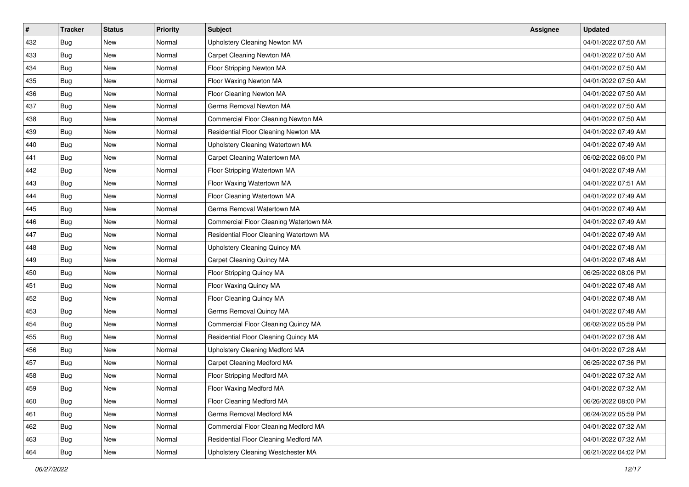| $\vert$ # | <b>Tracker</b> | <b>Status</b> | Priority | <b>Subject</b>                          | <b>Assignee</b> | <b>Updated</b>      |
|-----------|----------------|---------------|----------|-----------------------------------------|-----------------|---------------------|
| 432       | Bug            | New           | Normal   | Upholstery Cleaning Newton MA           |                 | 04/01/2022 07:50 AM |
| 433       | Bug            | New           | Normal   | Carpet Cleaning Newton MA               |                 | 04/01/2022 07:50 AM |
| 434       | Bug            | New           | Normal   | Floor Stripping Newton MA               |                 | 04/01/2022 07:50 AM |
| 435       | Bug            | New           | Normal   | Floor Waxing Newton MA                  |                 | 04/01/2022 07:50 AM |
| 436       | Bug            | <b>New</b>    | Normal   | Floor Cleaning Newton MA                |                 | 04/01/2022 07:50 AM |
| 437       | <b>Bug</b>     | New           | Normal   | Germs Removal Newton MA                 |                 | 04/01/2022 07:50 AM |
| 438       | Bug            | New           | Normal   | Commercial Floor Cleaning Newton MA     |                 | 04/01/2022 07:50 AM |
| 439       | Bug            | New           | Normal   | Residential Floor Cleaning Newton MA    |                 | 04/01/2022 07:49 AM |
| 440       | Bug            | New           | Normal   | Upholstery Cleaning Watertown MA        |                 | 04/01/2022 07:49 AM |
| 441       | Bug            | New           | Normal   | Carpet Cleaning Watertown MA            |                 | 06/02/2022 06:00 PM |
| 442       | Bug            | New           | Normal   | Floor Stripping Watertown MA            |                 | 04/01/2022 07:49 AM |
| 443       | Bug            | New           | Normal   | Floor Waxing Watertown MA               |                 | 04/01/2022 07:51 AM |
| 444       | Bug            | New           | Normal   | Floor Cleaning Watertown MA             |                 | 04/01/2022 07:49 AM |
| 445       | Bug            | New           | Normal   | Germs Removal Watertown MA              |                 | 04/01/2022 07:49 AM |
| 446       | Bug            | New           | Normal   | Commercial Floor Cleaning Watertown MA  |                 | 04/01/2022 07:49 AM |
| 447       | Bug            | New           | Normal   | Residential Floor Cleaning Watertown MA |                 | 04/01/2022 07:49 AM |
| 448       | Bug            | New           | Normal   | Upholstery Cleaning Quincy MA           |                 | 04/01/2022 07:48 AM |
| 449       | Bug            | <b>New</b>    | Normal   | Carpet Cleaning Quincy MA               |                 | 04/01/2022 07:48 AM |
| 450       | Bug            | New           | Normal   | Floor Stripping Quincy MA               |                 | 06/25/2022 08:06 PM |
| 451       | Bug            | New           | Normal   | Floor Waxing Quincy MA                  |                 | 04/01/2022 07:48 AM |
| 452       | Bug            | New           | Normal   | Floor Cleaning Quincy MA                |                 | 04/01/2022 07:48 AM |
| 453       | Bug            | New           | Normal   | Germs Removal Quincy MA                 |                 | 04/01/2022 07:48 AM |
| 454       | Bug            | <b>New</b>    | Normal   | Commercial Floor Cleaning Quincy MA     |                 | 06/02/2022 05:59 PM |
| 455       | Bug            | New           | Normal   | Residential Floor Cleaning Quincy MA    |                 | 04/01/2022 07:38 AM |
| 456       | Bug            | New           | Normal   | Upholstery Cleaning Medford MA          |                 | 04/01/2022 07:28 AM |
| 457       | Bug            | New           | Normal   | <b>Carpet Cleaning Medford MA</b>       |                 | 06/25/2022 07:36 PM |
| 458       | Bug            | New           | Normal   | Floor Stripping Medford MA              |                 | 04/01/2022 07:32 AM |
| 459       | <b>Bug</b>     | New           | Normal   | Floor Waxing Medford MA                 |                 | 04/01/2022 07:32 AM |
| 460       | Bug            | New           | Normal   | Floor Cleaning Medford MA               |                 | 06/26/2022 08:00 PM |
| 461       | <b>Bug</b>     | New           | Normal   | Germs Removal Medford MA                |                 | 06/24/2022 05:59 PM |
| 462       | Bug            | New           | Normal   | Commercial Floor Cleaning Medford MA    |                 | 04/01/2022 07:32 AM |
| 463       | Bug            | New           | Normal   | Residential Floor Cleaning Medford MA   |                 | 04/01/2022 07:32 AM |
| 464       | <b>Bug</b>     | New           | Normal   | Upholstery Cleaning Westchester MA      |                 | 06/21/2022 04:02 PM |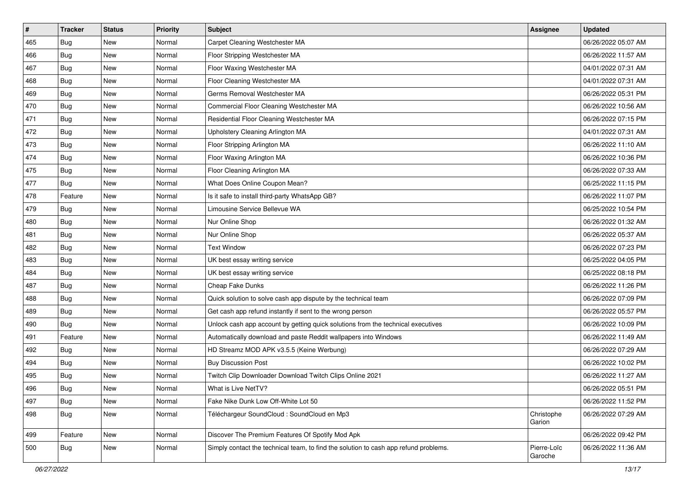| #   | <b>Tracker</b> | <b>Status</b> | <b>Priority</b> | Subject                                                                              | <b>Assignee</b>        | <b>Updated</b>      |
|-----|----------------|---------------|-----------------|--------------------------------------------------------------------------------------|------------------------|---------------------|
| 465 | Bug            | New           | Normal          | Carpet Cleaning Westchester MA                                                       |                        | 06/26/2022 05:07 AM |
| 466 | Bug            | <b>New</b>    | Normal          | Floor Stripping Westchester MA                                                       |                        | 06/26/2022 11:57 AM |
| 467 | Bug            | New           | Normal          | Floor Waxing Westchester MA                                                          |                        | 04/01/2022 07:31 AM |
| 468 | Bug            | New           | Normal          | Floor Cleaning Westchester MA                                                        |                        | 04/01/2022 07:31 AM |
| 469 | Bug            | New           | Normal          | Germs Removal Westchester MA                                                         |                        | 06/26/2022 05:31 PM |
| 470 | Bug            | New           | Normal          | Commercial Floor Cleaning Westchester MA                                             |                        | 06/26/2022 10:56 AM |
| 471 | Bug            | New           | Normal          | Residential Floor Cleaning Westchester MA                                            |                        | 06/26/2022 07:15 PM |
| 472 | Bug            | New           | Normal          | Upholstery Cleaning Arlington MA                                                     |                        | 04/01/2022 07:31 AM |
| 473 | Bug            | New           | Normal          | Floor Stripping Arlington MA                                                         |                        | 06/26/2022 11:10 AM |
| 474 | <b>Bug</b>     | New           | Normal          | Floor Waxing Arlington MA                                                            |                        | 06/26/2022 10:36 PM |
| 475 | Bug            | New           | Normal          | Floor Cleaning Arlington MA                                                          |                        | 06/26/2022 07:33 AM |
| 477 | <b>Bug</b>     | New           | Normal          | What Does Online Coupon Mean?                                                        |                        | 06/25/2022 11:15 PM |
| 478 | Feature        | New           | Normal          | Is it safe to install third-party WhatsApp GB?                                       |                        | 06/26/2022 11:07 PM |
| 479 | Bug            | New           | Normal          | Limousine Service Bellevue WA                                                        |                        | 06/25/2022 10:54 PM |
| 480 | <b>Bug</b>     | New           | Normal          | Nur Online Shop                                                                      |                        | 06/26/2022 01:32 AM |
| 481 | Bug            | New           | Normal          | Nur Online Shop                                                                      |                        | 06/26/2022 05:37 AM |
| 482 | Bug            | New           | Normal          | <b>Text Window</b>                                                                   |                        | 06/26/2022 07:23 PM |
| 483 | <b>Bug</b>     | New           | Normal          | UK best essay writing service                                                        |                        | 06/25/2022 04:05 PM |
| 484 | Bug            | New           | Normal          | UK best essay writing service                                                        |                        | 06/25/2022 08:18 PM |
| 487 | <b>Bug</b>     | New           | Normal          | Cheap Fake Dunks                                                                     |                        | 06/26/2022 11:26 PM |
| 488 | Bug            | New           | Normal          | Quick solution to solve cash app dispute by the technical team                       |                        | 06/26/2022 07:09 PM |
| 489 | Bug            | New           | Normal          | Get cash app refund instantly if sent to the wrong person                            |                        | 06/26/2022 05:57 PM |
| 490 | <b>Bug</b>     | New           | Normal          | Unlock cash app account by getting quick solutions from the technical executives     |                        | 06/26/2022 10:09 PM |
| 491 | Feature        | New           | Normal          | Automatically download and paste Reddit wallpapers into Windows                      |                        | 06/26/2022 11:49 AM |
| 492 | Bug            | New           | Normal          | HD Streamz MOD APK v3.5.5 (Keine Werbung)                                            |                        | 06/26/2022 07:29 AM |
| 494 | Bug            | New           | Normal          | <b>Buy Discussion Post</b>                                                           |                        | 06/26/2022 10:02 PM |
| 495 | Bug            | New           | Normal          | Twitch Clip Downloader Download Twitch Clips Online 2021                             |                        | 06/26/2022 11:27 AM |
| 496 | <b>Bug</b>     | New           | Normal          | What is Live NetTV?                                                                  |                        | 06/26/2022 05:51 PM |
| 497 | Bug            | New           | Normal          | Fake Nike Dunk Low Off-White Lot 50                                                  |                        | 06/26/2022 11:52 PM |
| 498 | Bug            | New           | Normal          | Téléchargeur SoundCloud : SoundCloud en Mp3                                          | Christophe<br>Garion   | 06/26/2022 07:29 AM |
| 499 | Feature        | New           | Normal          | Discover The Premium Features Of Spotify Mod Apk                                     |                        | 06/26/2022 09:42 PM |
| 500 | <b>Bug</b>     | New           | Normal          | Simply contact the technical team, to find the solution to cash app refund problems. | Pierre-Loïc<br>Garoche | 06/26/2022 11:36 AM |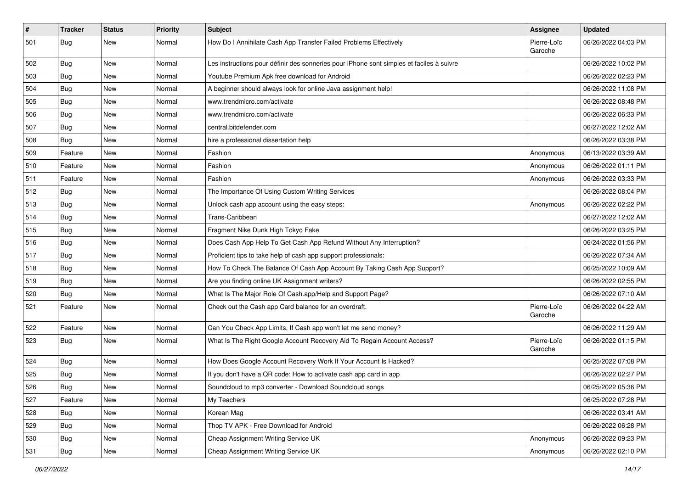| $\vert$ # | <b>Tracker</b> | <b>Status</b> | <b>Priority</b> | Subject                                                                                  | Assignee               | <b>Updated</b>      |
|-----------|----------------|---------------|-----------------|------------------------------------------------------------------------------------------|------------------------|---------------------|
| 501       | Bug            | New           | Normal          | How Do I Annihilate Cash App Transfer Failed Problems Effectively                        | Pierre-Loïc<br>Garoche | 06/26/2022 04:03 PM |
| 502       | <b>Bug</b>     | New           | Normal          | Les instructions pour définir des sonneries pour iPhone sont simples et faciles à suivre |                        | 06/26/2022 10:02 PM |
| 503       | Bug            | <b>New</b>    | Normal          | Youtube Premium Apk free download for Android                                            |                        | 06/26/2022 02:23 PM |
| 504       | <b>Bug</b>     | New           | Normal          | A beginner should always look for online Java assignment help!                           |                        | 06/26/2022 11:08 PM |
| 505       | Bug            | New           | Normal          | www.trendmicro.com/activate                                                              |                        | 06/26/2022 08:48 PM |
| 506       | Bug            | New           | Normal          | www.trendmicro.com/activate                                                              |                        | 06/26/2022 06:33 PM |
| 507       | Bug            | New           | Normal          | central.bitdefender.com                                                                  |                        | 06/27/2022 12:02 AM |
| 508       | Bug            | New           | Normal          | hire a professional dissertation help                                                    |                        | 06/26/2022 03:38 PM |
| 509       | Feature        | New           | Normal          | Fashion                                                                                  | Anonymous              | 06/13/2022 03:39 AM |
| 510       | Feature        | New           | Normal          | Fashion                                                                                  | Anonymous              | 06/26/2022 01:11 PM |
| 511       | Feature        | <b>New</b>    | Normal          | Fashion                                                                                  | Anonymous              | 06/26/2022 03:33 PM |
| 512       | <b>Bug</b>     | New           | Normal          | The Importance Of Using Custom Writing Services                                          |                        | 06/26/2022 08:04 PM |
| 513       | Bug            | New           | Normal          | Unlock cash app account using the easy steps:                                            | Anonymous              | 06/26/2022 02:22 PM |
| 514       | Bug            | <b>New</b>    | Normal          | Trans-Caribbean                                                                          |                        | 06/27/2022 12:02 AM |
| 515       | Bug            | New           | Normal          | Fragment Nike Dunk High Tokyo Fake                                                       |                        | 06/26/2022 03:25 PM |
| 516       | Bug            | <b>New</b>    | Normal          | Does Cash App Help To Get Cash App Refund Without Any Interruption?                      |                        | 06/24/2022 01:56 PM |
| 517       | Bug            | New           | Normal          | Proficient tips to take help of cash app support professionals:                          |                        | 06/26/2022 07:34 AM |
| 518       | Bug            | New           | Normal          | How To Check The Balance Of Cash App Account By Taking Cash App Support?                 |                        | 06/25/2022 10:09 AM |
| 519       | Bug            | New           | Normal          | Are you finding online UK Assignment writers?                                            |                        | 06/26/2022 02:55 PM |
| 520       | Bug            | New           | Normal          | What Is The Major Role Of Cash.app/Help and Support Page?                                |                        | 06/26/2022 07:10 AM |
| 521       | Feature        | New           | Normal          | Check out the Cash app Card balance for an overdraft.                                    | Pierre-Loïc<br>Garoche | 06/26/2022 04:22 AM |
| 522       | Feature        | New           | Normal          | Can You Check App Limits, If Cash app won't let me send money?                           |                        | 06/26/2022 11:29 AM |
| 523       | Bug            | New           | Normal          | What Is The Right Google Account Recovery Aid To Regain Account Access?                  | Pierre-Loïc<br>Garoche | 06/26/2022 01:15 PM |
| 524       | Bug            | New           | Normal          | How Does Google Account Recovery Work If Your Account Is Hacked?                         |                        | 06/25/2022 07:08 PM |
| 525       | Bug            | New           | Normal          | If you don't have a QR code: How to activate cash app card in app                        |                        | 06/26/2022 02:27 PM |
| 526       | Bug            | New           | Normal          | Soundcloud to mp3 converter - Download Soundcloud songs                                  |                        | 06/25/2022 05:36 PM |
| 527       | Feature        | New           | Normal          | My Teachers                                                                              |                        | 06/25/2022 07:28 PM |
| 528       | Bug            | New           | Normal          | Korean Mag                                                                               |                        | 06/26/2022 03:41 AM |
| 529       | Bug            | New           | Normal          | Thop TV APK - Free Download for Android                                                  |                        | 06/26/2022 06:28 PM |
| 530       | Bug            | New           | Normal          | Cheap Assignment Writing Service UK                                                      | Anonymous              | 06/26/2022 09:23 PM |
| 531       | <b>Bug</b>     | New           | Normal          | Cheap Assignment Writing Service UK                                                      | Anonymous              | 06/26/2022 02:10 PM |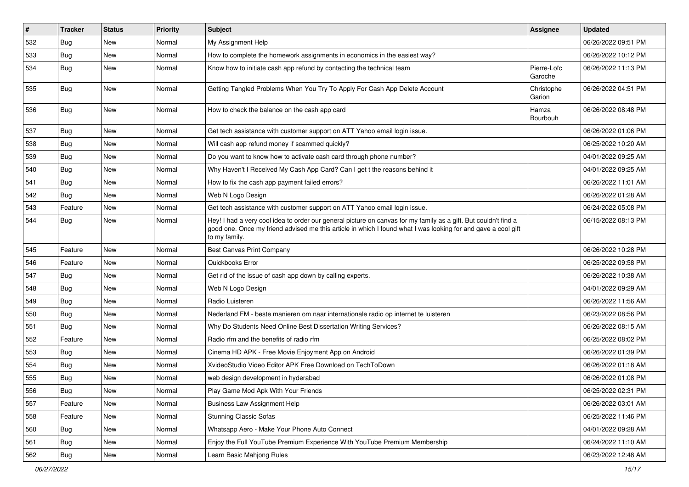| $\sharp$ | <b>Tracker</b> | <b>Status</b> | <b>Priority</b> | Subject                                                                                                                                                                                                                                           | <b>Assignee</b>        | <b>Updated</b>      |
|----------|----------------|---------------|-----------------|---------------------------------------------------------------------------------------------------------------------------------------------------------------------------------------------------------------------------------------------------|------------------------|---------------------|
| 532      | <b>Bug</b>     | New           | Normal          | My Assignment Help                                                                                                                                                                                                                                |                        | 06/26/2022 09:51 PM |
| 533      | <b>Bug</b>     | New           | Normal          | How to complete the homework assignments in economics in the easiest way?                                                                                                                                                                         |                        | 06/26/2022 10:12 PM |
| 534      | Bug            | New           | Normal          | Know how to initiate cash app refund by contacting the technical team                                                                                                                                                                             | Pierre-Loïc<br>Garoche | 06/26/2022 11:13 PM |
| 535      | Bug            | New           | Normal          | Getting Tangled Problems When You Try To Apply For Cash App Delete Account                                                                                                                                                                        | Christophe<br>Garion   | 06/26/2022 04:51 PM |
| 536      | Bug            | New           | Normal          | How to check the balance on the cash app card                                                                                                                                                                                                     | Hamza<br>Bourbouh      | 06/26/2022 08:48 PM |
| 537      | Bug            | New           | Normal          | Get tech assistance with customer support on ATT Yahoo email login issue.                                                                                                                                                                         |                        | 06/26/2022 01:06 PM |
| 538      | Bug            | New           | Normal          | Will cash app refund money if scammed quickly?                                                                                                                                                                                                    |                        | 06/25/2022 10:20 AM |
| 539      | Bug            | New           | Normal          | Do you want to know how to activate cash card through phone number?                                                                                                                                                                               |                        | 04/01/2022 09:25 AM |
| 540      | <b>Bug</b>     | <b>New</b>    | Normal          | Why Haven't I Received My Cash App Card? Can I get t the reasons behind it                                                                                                                                                                        |                        | 04/01/2022 09:25 AM |
| 541      | Bug            | New           | Normal          | How to fix the cash app payment failed errors?                                                                                                                                                                                                    |                        | 06/26/2022 11:01 AM |
| 542      | Bug            | New           | Normal          | Web N Logo Design                                                                                                                                                                                                                                 |                        | 06/26/2022 01:28 AM |
| 543      | Feature        | New           | Normal          | Get tech assistance with customer support on ATT Yahoo email login issue.                                                                                                                                                                         |                        | 06/24/2022 05:08 PM |
| 544      | Bug            | New           | Normal          | Hey! I had a very cool idea to order our general picture on canvas for my family as a gift. But couldn't find a<br>good one. Once my friend advised me this article in which I found what I was looking for and gave a cool gift<br>to my family. |                        | 06/15/2022 08:13 PM |
| 545      | Feature        | New           | Normal          | Best Canvas Print Company                                                                                                                                                                                                                         |                        | 06/26/2022 10:28 PM |
| 546      | Feature        | <b>New</b>    | Normal          | Quickbooks Error                                                                                                                                                                                                                                  |                        | 06/25/2022 09:58 PM |
| 547      | Bug            | New           | Normal          | Get rid of the issue of cash app down by calling experts.                                                                                                                                                                                         |                        | 06/26/2022 10:38 AM |
| 548      | <b>Bug</b>     | New           | Normal          | Web N Logo Design                                                                                                                                                                                                                                 |                        | 04/01/2022 09:29 AM |
| 549      | Bug            | New           | Normal          | Radio Luisteren                                                                                                                                                                                                                                   |                        | 06/26/2022 11:56 AM |
| 550      | Bug            | <b>New</b>    | Normal          | Nederland FM - beste manieren om naar internationale radio op internet te luisteren                                                                                                                                                               |                        | 06/23/2022 08:56 PM |
| 551      | Bug            | New           | Normal          | Why Do Students Need Online Best Dissertation Writing Services?                                                                                                                                                                                   |                        | 06/26/2022 08:15 AM |
| 552      | Feature        | New           | Normal          | Radio rfm and the benefits of radio rfm                                                                                                                                                                                                           |                        | 06/25/2022 08:02 PM |
| 553      | Bug            | New           | Normal          | Cinema HD APK - Free Movie Enjoyment App on Android                                                                                                                                                                                               |                        | 06/26/2022 01:39 PM |
| 554      | <b>Bug</b>     | New           | Normal          | XvideoStudio Video Editor APK Free Download on TechToDown                                                                                                                                                                                         |                        | 06/26/2022 01:18 AM |
| 555      | Bug            | New           | Normal          | web design development in hyderabad                                                                                                                                                                                                               |                        | 06/26/2022 01:08 PM |
| 556      | Bug            | New           | Normal          | Play Game Mod Apk With Your Friends                                                                                                                                                                                                               |                        | 06/25/2022 02:31 PM |
| 557      | Feature        | New           | Normal          | <b>Business Law Assignment Help</b>                                                                                                                                                                                                               |                        | 06/26/2022 03:01 AM |
| 558      | Feature        | New           | Normal          | <b>Stunning Classic Sofas</b>                                                                                                                                                                                                                     |                        | 06/25/2022 11:46 PM |
| 560      | Bug            | New           | Normal          | Whatsapp Aero - Make Your Phone Auto Connect                                                                                                                                                                                                      |                        | 04/01/2022 09:28 AM |
| 561      | Bug            | New           | Normal          | Enjoy the Full YouTube Premium Experience With YouTube Premium Membership                                                                                                                                                                         |                        | 06/24/2022 11:10 AM |
| 562      | <b>Bug</b>     | New           | Normal          | Learn Basic Mahjong Rules                                                                                                                                                                                                                         |                        | 06/23/2022 12:48 AM |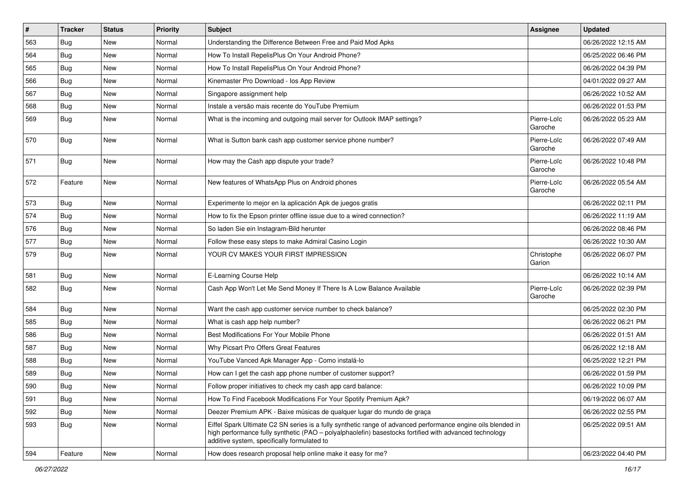| $\pmb{\#}$ | <b>Tracker</b> | <b>Status</b> | <b>Priority</b> | Subject                                                                                                                                                                                                                                                               | Assignee               | <b>Updated</b>      |
|------------|----------------|---------------|-----------------|-----------------------------------------------------------------------------------------------------------------------------------------------------------------------------------------------------------------------------------------------------------------------|------------------------|---------------------|
| 563        | Bug            | New           | Normal          | Understanding the Difference Between Free and Paid Mod Apks                                                                                                                                                                                                           |                        | 06/26/2022 12:15 AM |
| 564        | Bug            | <b>New</b>    | Normal          | How To Install RepelisPlus On Your Android Phone?                                                                                                                                                                                                                     |                        | 06/25/2022 06:46 PM |
| 565        | Bug            | New           | Normal          | How To Install RepelisPlus On Your Android Phone?                                                                                                                                                                                                                     |                        | 06/26/2022 04:39 PM |
| 566        | Bug            | New           | Normal          | Kinemaster Pro Download - los App Review                                                                                                                                                                                                                              |                        | 04/01/2022 09:27 AM |
| 567        | Bug            | <b>New</b>    | Normal          | Singapore assignment help                                                                                                                                                                                                                                             |                        | 06/26/2022 10:52 AM |
| 568        | Bug            | New           | Normal          | Instale a versão mais recente do YouTube Premium                                                                                                                                                                                                                      |                        | 06/26/2022 01:53 PM |
| 569        | Bug            | New           | Normal          | What is the incoming and outgoing mail server for Outlook IMAP settings?                                                                                                                                                                                              | Pierre-Loïc<br>Garoche | 06/26/2022 05:23 AM |
| 570        | Bug            | <b>New</b>    | Normal          | What is Sutton bank cash app customer service phone number?                                                                                                                                                                                                           | Pierre-Loïc<br>Garoche | 06/26/2022 07:49 AM |
| 571        | Bug            | New           | Normal          | How may the Cash app dispute your trade?                                                                                                                                                                                                                              | Pierre-Loïc<br>Garoche | 06/26/2022 10:48 PM |
| 572        | Feature        | New           | Normal          | New features of WhatsApp Plus on Android phones                                                                                                                                                                                                                       | Pierre-Loïc<br>Garoche | 06/26/2022 05:54 AM |
| 573        | Bug            | New           | Normal          | Experimente lo mejor en la aplicación Apk de juegos gratis                                                                                                                                                                                                            |                        | 06/26/2022 02:11 PM |
| 574        | Bug            | <b>New</b>    | Normal          | How to fix the Epson printer offline issue due to a wired connection?                                                                                                                                                                                                 |                        | 06/26/2022 11:19 AM |
| 576        | Bug            | New           | Normal          | So laden Sie ein Instagram-Bild herunter                                                                                                                                                                                                                              |                        | 06/26/2022 08:46 PM |
| 577        | Bug            | <b>New</b>    | Normal          | Follow these easy steps to make Admiral Casino Login                                                                                                                                                                                                                  |                        | 06/26/2022 10:30 AM |
| 579        | Bug            | New           | Normal          | YOUR CV MAKES YOUR FIRST IMPRESSION                                                                                                                                                                                                                                   | Christophe<br>Garion   | 06/26/2022 06:07 PM |
| 581        | Bug            | <b>New</b>    | Normal          | E-Learning Course Help                                                                                                                                                                                                                                                |                        | 06/26/2022 10:14 AM |
| 582        | Bug            | New           | Normal          | Cash App Won't Let Me Send Money If There Is A Low Balance Available                                                                                                                                                                                                  | Pierre-Loïc<br>Garoche | 06/26/2022 02:39 PM |
| 584        | Bug            | New           | Normal          | Want the cash app customer service number to check balance?                                                                                                                                                                                                           |                        | 06/25/2022 02:30 PM |
| 585        | Bug            | New           | Normal          | What is cash app help number?                                                                                                                                                                                                                                         |                        | 06/26/2022 06:21 PM |
| 586        | Bug            | <b>New</b>    | Normal          | Best Modifications For Your Mobile Phone                                                                                                                                                                                                                              |                        | 06/26/2022 01:51 AM |
| 587        | Bug            | New           | Normal          | Why Picsart Pro Offers Great Features                                                                                                                                                                                                                                 |                        | 06/26/2022 12:18 AM |
| 588        | Bug            | New           | Normal          | YouTube Vanced Apk Manager App - Como instalá-lo                                                                                                                                                                                                                      |                        | 06/25/2022 12:21 PM |
| 589        | Bug            | <b>New</b>    | Normal          | How can I get the cash app phone number of customer support?                                                                                                                                                                                                          |                        | 06/26/2022 01:59 PM |
| 590        | <b>Bug</b>     | New           | Normal          | Follow proper initiatives to check my cash app card balance:                                                                                                                                                                                                          |                        | 06/26/2022 10:09 PM |
| 591        | Bug            | New           | Normal          | How To Find Facebook Modifications For Your Spotify Premium Apk?                                                                                                                                                                                                      |                        | 06/19/2022 06:07 AM |
| 592        | Bug            | New           | Normal          | Deezer Premium APK - Baixe músicas de qualquer lugar do mundo de graca                                                                                                                                                                                                |                        | 06/26/2022 02:55 PM |
| 593        | Bug            | New           | Normal          | Eiffel Spark Ultimate C2 SN series is a fully synthetic range of advanced performance engine oils blended in<br>high performance fully synthetic (PAO - polyalphaolefin) basestocks fortified with advanced technology<br>additive system, specifically formulated to |                        | 06/25/2022 09:51 AM |
| 594        | Feature        | New           | Normal          | How does research proposal help online make it easy for me?                                                                                                                                                                                                           |                        | 06/23/2022 04:40 PM |